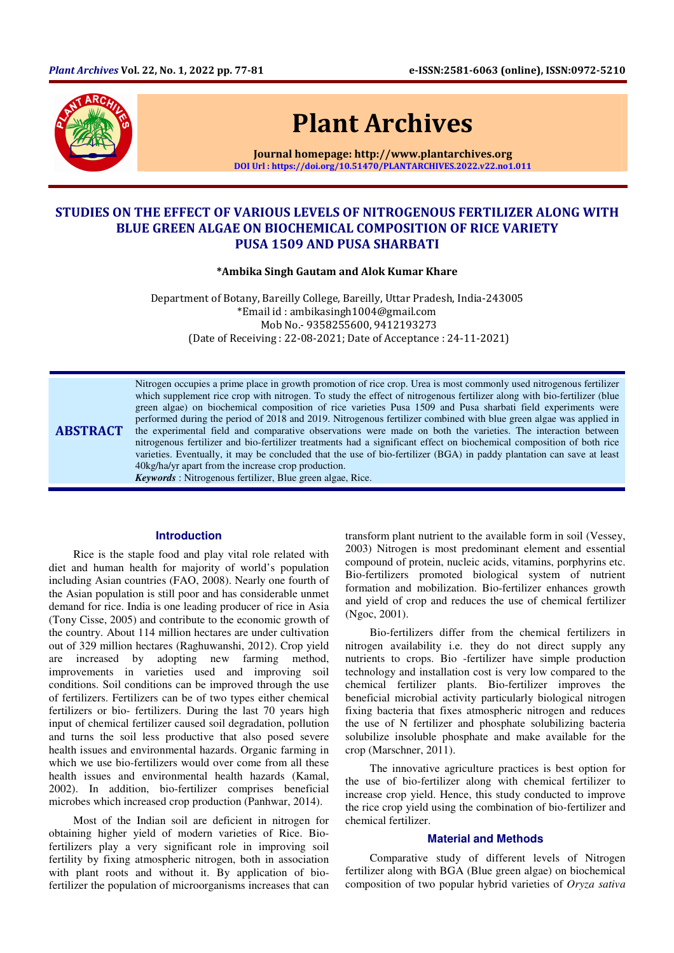

# Plant Archives

Journal homepage: http://www.plantarchives.org DOI Url : https://doi.org/10.51470/PLANTARCHIVES.2022.v22.no1.011

# STUDIES ON THE EFFECT OF VARIOUS LEVELS OF NITROGENOUS FERTILIZER ALONG WITH BLUE GREEN ALGAE ON BIOCHEMICAL COMPOSITION OF RICE VARIETY PUSA 1509 AND PUSA SHARBATI

\*Ambika Singh Gautam and Alok Kumar Khare

Department of Botany, Bareilly College, Bareilly, Uttar Pradesh, India-243005 \*Email id : ambikasingh1004@gmail.com Mob No.- 9358255600, 9412193273 (Date of Receiving : 22-08-2021; Date of Acceptance : 24-11-2021)

ABSTRACT Nitrogen occupies a prime place in growth promotion of rice crop. Urea is most commonly used nitrogenous fertilizer which supplement rice crop with nitrogen. To study the effect of nitrogenous fertilizer along with bio-fertilizer (blue green algae) on biochemical composition of rice varieties Pusa 1509 and Pusa sharbati field experiments were performed during the period of 2018 and 2019. Nitrogenous fertilizer combined with blue green algae was applied in the experimental field and comparative observations were made on both the varieties. The interaction between nitrogenous fertilizer and bio-fertilizer treatments had a significant effect on biochemical composition of both rice varieties. Eventually, it may be concluded that the use of bio-fertilizer (BGA) in paddy plantation can save at least 40kg/ha/yr apart from the increase crop production.

*Keywords* : Nitrogenous fertilizer, Blue green algae, Rice.

#### **Introduction**

Rice is the staple food and play vital role related with diet and human health for majority of world's population including Asian countries (FAO, 2008). Nearly one fourth of the Asian population is still poor and has considerable unmet demand for rice. India is one leading producer of rice in Asia (Tony Cisse, 2005) and contribute to the economic growth of the country. About 114 million hectares are under cultivation out of 329 million hectares (Raghuwanshi, 2012). Crop yield are increased by adopting new farming method, improvements in varieties used and improving soil conditions. Soil conditions can be improved through the use of fertilizers. Fertilizers can be of two types either chemical fertilizers or bio- fertilizers. During the last 70 years high input of chemical fertilizer caused soil degradation, pollution and turns the soil less productive that also posed severe health issues and environmental hazards. Organic farming in which we use bio-fertilizers would over come from all these health issues and environmental health hazards (Kamal, 2002). In addition, bio-fertilizer comprises beneficial microbes which increased crop production (Panhwar, 2014).

Most of the Indian soil are deficient in nitrogen for obtaining higher yield of modern varieties of Rice. Biofertilizers play a very significant role in improving soil fertility by fixing atmospheric nitrogen, both in association with plant roots and without it. By application of biofertilizer the population of microorganisms increases that can

transform plant nutrient to the available form in soil (Vessey, 2003) Nitrogen is most predominant element and essential compound of protein, nucleic acids, vitamins, porphyrins etc. Bio-fertilizers promoted biological system of nutrient formation and mobilization. Bio-fertilizer enhances growth and yield of crop and reduces the use of chemical fertilizer (Ngoc, 2001).

Bio-fertilizers differ from the chemical fertilizers in nitrogen availability i.e. they do not direct supply any nutrients to crops. Bio -fertilizer have simple production technology and installation cost is very low compared to the chemical fertilizer plants. Bio-fertilizer improves the beneficial microbial activity particularly biological nitrogen fixing bacteria that fixes atmospheric nitrogen and reduces the use of N fertilizer and phosphate solubilizing bacteria solubilize insoluble phosphate and make available for the crop (Marschner, 2011).

The innovative agriculture practices is best option for the use of bio-fertilizer along with chemical fertilizer to increase crop yield. Hence, this study conducted to improve the rice crop yield using the combination of bio-fertilizer and chemical fertilizer.

## **Material and Methods**

Comparative study of different levels of Nitrogen fertilizer along with BGA (Blue green algae) on biochemical composition of two popular hybrid varieties of *Oryza sativa*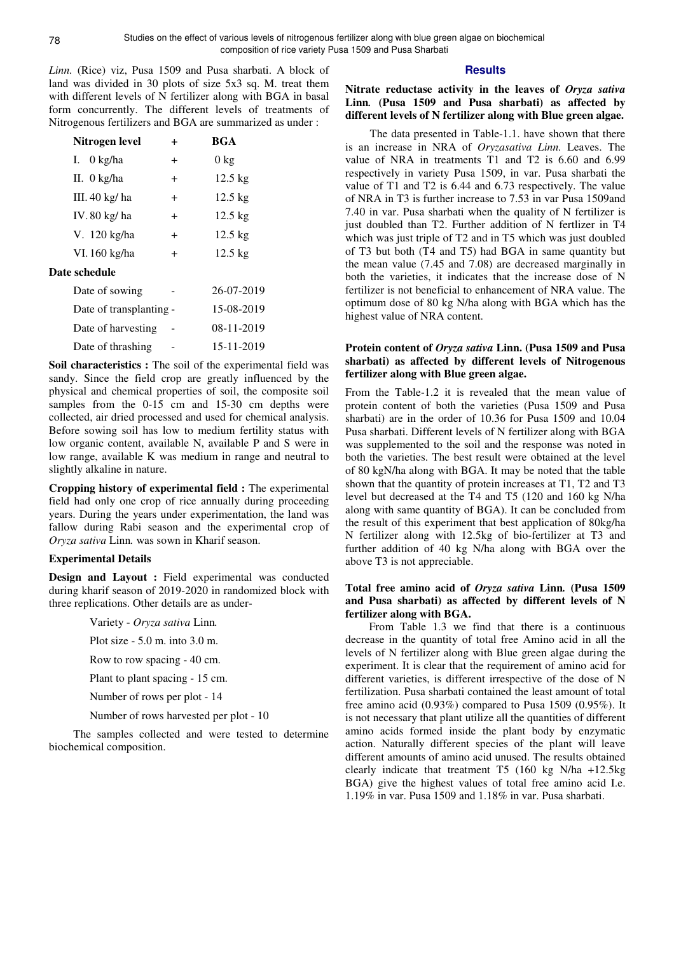*Linn.* (Rice) viz, Pusa 1509 and Pusa sharbati. A block of land was divided in 30 plots of size 5x3 sq. M. treat them with different levels of N fertilizer along with BGA in basal form concurrently. The different levels of treatments of Nitrogenous fertilizers and BGA are summarized as under :

| Nitrogen level          | +         | <b>BGA</b>        |
|-------------------------|-----------|-------------------|
| I. $0 \text{ kg/ha}$    | $\pm$     | $0 \text{ kg}$    |
| II. 0 kg/ha             | $\ddot{}$ | $12.5 \text{ kg}$ |
| III. $40 \text{ kg/ha}$ | $\pm$     | $12.5 \text{ kg}$ |
| IV.80 kg/ha             | $\ddot{}$ | $12.5 \text{ kg}$ |
| V. 120 kg/ha            | $\ddot{}$ | $12.5 \text{ kg}$ |
| VI. 160 kg/ha           | $\ddot{}$ | $12.5 \text{ kg}$ |
| Date schedule           |           |                   |
| Date of sowing          |           | 26-07-2019        |
| Date of transplanting - |           | 15-08-2019        |
| Date of harvesting      |           | 08-11-2019        |
| Date of thrashing       |           | 15-11-2019        |

Soil characteristics : The soil of the experimental field was sandy. Since the field crop are greatly influenced by the physical and chemical properties of soil, the composite soil samples from the 0-15 cm and 15-30 cm depths were collected, air dried processed and used for chemical analysis. Before sowing soil has low to medium fertility status with low organic content, available N, available P and S were in low range, available K was medium in range and neutral to slightly alkaline in nature.

**Cropping history of experimental field :** The experimental field had only one crop of rice annually during proceeding years. During the years under experimentation, the land was fallow during Rabi season and the experimental crop of *Oryza sativa* Linn*.* was sown in Kharif season.

## **Experimental Details**

**Design and Layout :** Field experimental was conducted during kharif season of 2019-2020 in randomized block with three replications. Other details are as under-

Variety - *Oryza sativa* Linn*.*

Plot size - 5.0 m. into 3.0 m.

Row to row spacing - 40 cm.

Plant to plant spacing - 15 cm.

Number of rows per plot - 14

Number of rows harvested per plot - 10

The samples collected and were tested to determine biochemical composition.

## **Results**

**Nitrate reductase activity in the leaves of** *Oryza sativa*  **Linn***.* **(Pusa 1509 and Pusa sharbati) as affected by different levels of N fertilizer along with Blue green algae.** 

The data presented in Table-1.1. have shown that there is an increase in NRA of *Oryzasativa Linn.* Leaves. The value of NRA in treatments T1 and T2 is 6.60 and 6.99 respectively in variety Pusa 1509, in var. Pusa sharbati the value of T1 and T2 is 6.44 and 6.73 respectively. The value of NRA in T3 is further increase to 7.53 in var Pusa 1509and 7.40 in var. Pusa sharbati when the quality of N fertilizer is just doubled than T2. Further addition of N fertlizer in T4 which was just triple of T2 and in T5 which was just doubled of T3 but both (T4 and T5) had BGA in same quantity but the mean value (7.45 and 7.08) are decreased marginally in both the varieties, it indicates that the increase dose of N fertilizer is not beneficial to enhancement of NRA value. The optimum dose of 80 kg N/ha along with BGA which has the highest value of NRA content.

## **Protein content of** *Oryza sativa* **Linn. (Pusa 1509 and Pusa sharbati) as affected by different levels of Nitrogenous fertilizer along with Blue green algae.**

From the Table-1.2 it is revealed that the mean value of protein content of both the varieties (Pusa 1509 and Pusa sharbati) are in the order of 10.36 for Pusa 1509 and 10.04 Pusa sharbati. Different levels of N fertilizer along with BGA was supplemented to the soil and the response was noted in both the varieties. The best result were obtained at the level of 80 kgN/ha along with BGA. It may be noted that the table shown that the quantity of protein increases at T1, T2 and T3 level but decreased at the T4 and T5 (120 and 160 kg N/ha along with same quantity of BGA). It can be concluded from the result of this experiment that best application of 80kg/ha N fertilizer along with 12.5kg of bio-fertilizer at T3 and further addition of 40 kg N/ha along with BGA over the above T3 is not appreciable.

# **Total free amino acid of** *Oryza sativa* **Linn***.* **(Pusa 1509 and Pusa sharbati) as affected by different levels of N fertilizer along with BGA.**

From Table 1.3 we find that there is a continuous decrease in the quantity of total free Amino acid in all the levels of N fertilizer along with Blue green algae during the experiment. It is clear that the requirement of amino acid for different varieties, is different irrespective of the dose of N fertilization. Pusa sharbati contained the least amount of total free amino acid (0.93%) compared to Pusa 1509 (0.95%). It is not necessary that plant utilize all the quantities of different amino acids formed inside the plant body by enzymatic action. Naturally different species of the plant will leave different amounts of amino acid unused. The results obtained clearly indicate that treatment T5 (160 kg N/ha +12.5kg BGA) give the highest values of total free amino acid I.e. 1.19% in var. Pusa 1509 and 1.18% in var. Pusa sharbati.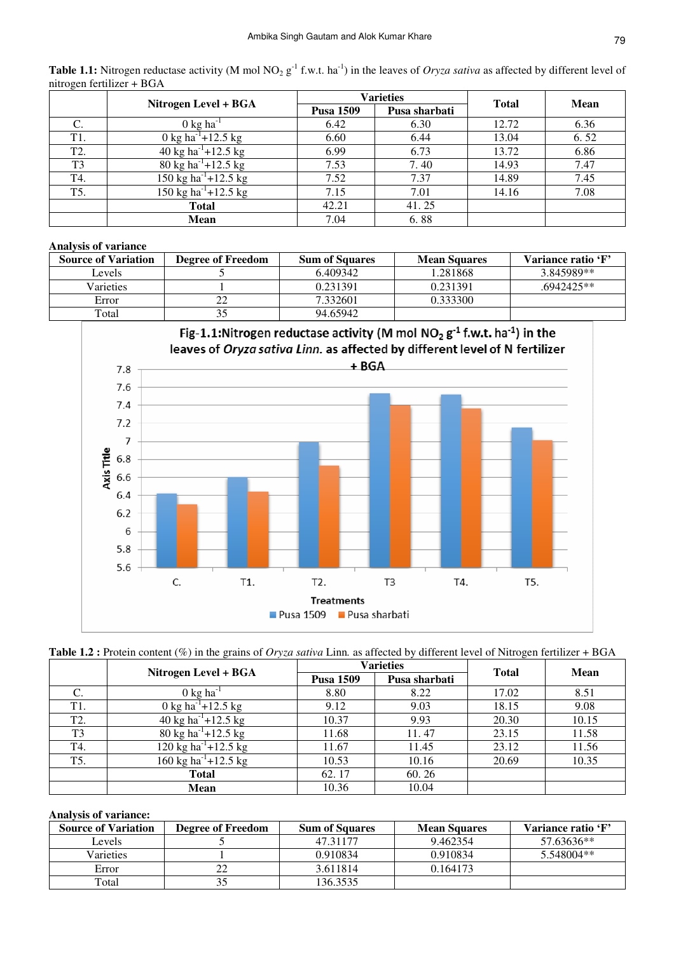|                  |                                  | Varieties        |               |              |             |
|------------------|----------------------------------|------------------|---------------|--------------|-------------|
|                  | Nitrogen Level + BGA             | <b>Pusa 1509</b> | Pusa sharbati | <b>Total</b> | <b>Mean</b> |
| C.               | $0 \text{ kg ha}^{-1}$           | 6.42             | 6.30          | 12.72        | 6.36        |
| T1.              | 0 kg ha <sup>-1</sup> +12.5 kg   | 6.60             | 6.44          | 13.04        | 6.52        |
| T <sub>2</sub> . | 40 kg ha <sup>-1</sup> +12.5 kg  | 6.99             | 6.73          | 13.72        | 6.86        |
| T <sub>3</sub>   | 80 kg ha <sup>-1</sup> +12.5 kg  | 7.53             | 7.40          | 14.93        | 7.47        |
| T4.              | 150 kg ha <sup>-1</sup> +12.5 kg | 7.52             | 7.37          | 14.89        | 7.45        |
| T5.              | 150 kg ha <sup>-1</sup> +12.5 kg | 7.15             | 7.01          | 14.16        | 7.08        |
|                  | <b>Total</b>                     | 42.21            | 41.25         |              |             |
|                  | <b>Mean</b>                      | 7.04             | 6.88          |              |             |

**Table 1.1:** Nitrogen reductase activity (M mol NO<sub>2</sub> g<sup>-1</sup> f.w.t. ha<sup>-1</sup>) in the leaves of *Oryza sativa* as affected by different level of nitrogen fertilizer + BGA

# **Analysis of variance**

| <b>Source of Variation</b> | <b>Degree of Freedom</b> | <b>Sum of Squares</b> | <b>Mean Squares</b> | Variance ratio 'F' |
|----------------------------|--------------------------|-----------------------|---------------------|--------------------|
| Levels                     |                          | 6.409342              | 1.281868            | 3.845989**         |
| Varieties                  |                          | 0.231391              | 0.231391            | $.6942425**$       |
| Error                      | 22                       | 7.332601              | 0.333300            |                    |
| Total                      | 35                       | 94.65942              |                     |                    |



| Table 1.2 : Protein content $(\%)$ in the grains of <i>Oryza sativa</i> Linn. as affected by different level of Nitrogen fertilizer + BGA |  |  |  |  |
|-------------------------------------------------------------------------------------------------------------------------------------------|--|--|--|--|
|-------------------------------------------------------------------------------------------------------------------------------------------|--|--|--|--|

|                  | Nitrogen Level + BGA             |                  | <b>Varieties</b> | <b>Total</b> | Mean  |  |
|------------------|----------------------------------|------------------|------------------|--------------|-------|--|
|                  |                                  | <b>Pusa 1509</b> | Pusa sharbati    |              |       |  |
| C.               | $0 \text{ kg ha}^{-1}$           | 8.80             | 8.22             | 17.02        | 8.51  |  |
| T1.              | 0 kg ha <sup>-1</sup> +12.5 kg   | 9.12             | 9.03             | 18.15        | 9.08  |  |
| T <sub>2</sub> . | 40 kg ha <sup>-1</sup> +12.5 kg  | 10.37            | 9.93             | 20.30        | 10.15 |  |
| T <sub>3</sub>   | 80 kg ha <sup>-1</sup> +12.5 kg  | 11.68            | 11.47            | 23.15        | 11.58 |  |
| T4.              | 120 kg ha <sup>-1</sup> +12.5 kg | 11.67            | 11.45            | 23.12        | 11.56 |  |
| T5.              | 160 kg ha <sup>-1</sup> +12.5 kg | 10.53            | 10.16            | 20.69        | 10.35 |  |
|                  | <b>Total</b>                     | 62.17            | 60.26            |              |       |  |
|                  | Mean                             | 10.36            | 10.04            |              |       |  |

# **Analysis of variance:**

| <b>Source of Variation</b> | <b>Degree of Freedom</b> | <b>Sum of Squares</b> | <b>Mean Squares</b> | Variance ratio 'F' |
|----------------------------|--------------------------|-----------------------|---------------------|--------------------|
| Levels                     |                          | 47.31177              | 9.462354            | 57.63636**         |
| Varieties                  |                          | 0.910834              | 0.910834            | 5.548004**         |
| Error                      | 22                       | 3.611814              | 0.164173            |                    |
| Total                      | 35                       | 136.3535              |                     |                    |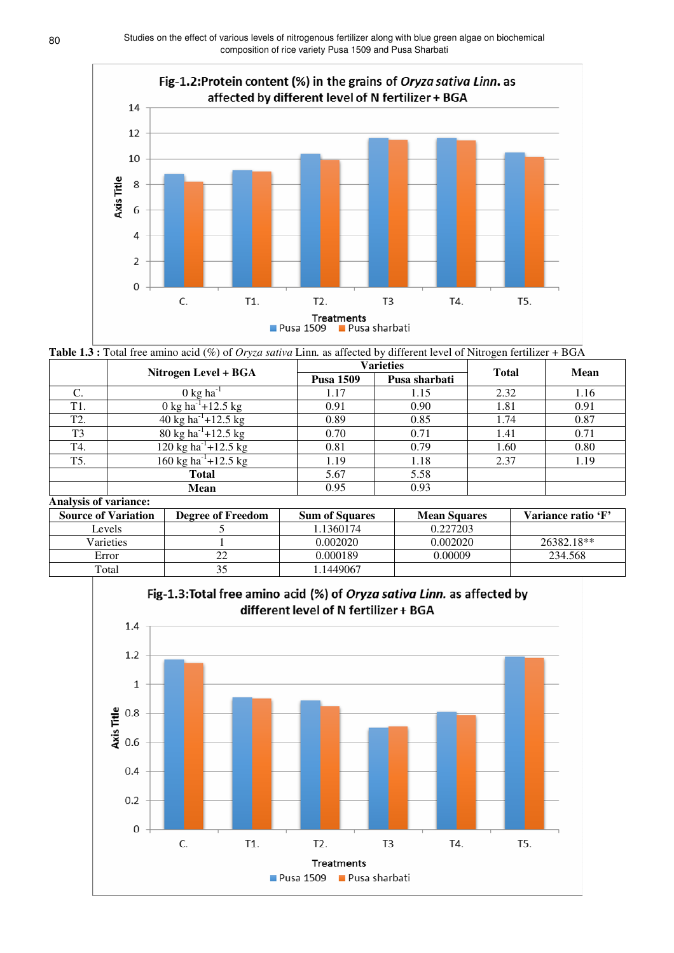

**Table 1.3 :** Total free amino acid (%) of *Oryza sativa* Linn*.* as affected by different level of Nitrogen fertilizer + BGA

|                |                                  |                  | <b>Varieties</b> | <b>Total</b> | Mean |  |
|----------------|----------------------------------|------------------|------------------|--------------|------|--|
|                | Nitrogen Level + BGA             | <b>Pusa 1509</b> | Pusa sharbati    |              |      |  |
|                | $0 \text{ kg ha}^{-1}$           | 1.17             | 1.15             | 2.32         | 1.16 |  |
| T1.            | 0 kg ha <sup>-1</sup> +12.5 kg   | 0.91             | 0.90             | 1.81         | 0.91 |  |
| T2.            | 40 kg ha <sup>-1</sup> +12.5 kg  | 0.89             | 0.85             | 1.74         | 0.87 |  |
| T <sub>3</sub> | 80 kg ha <sup>-1</sup> +12.5 kg  | 0.70             | 0.71             | 1.41         | 0.71 |  |
| T4.            | 120 kg ha <sup>-1</sup> +12.5 kg | 0.81             | 0.79             | 1.60         | 0.80 |  |
| T5.            | 160 kg ha <sup>-1</sup> +12.5 kg | 1.19             | 1.18             | 2.37         | 1.19 |  |
|                | Total                            | 5.67             | 5.58             |              |      |  |
|                | <b>Mean</b>                      | 0.95             | 0.93             |              |      |  |

# **Analysis of variance:**

| <b>Source of Variation</b> | <b>Degree of Freedom</b> | <b>Sum of Squares</b> | <b>Mean Squares</b> | Variance ratio 'F' |
|----------------------------|--------------------------|-----------------------|---------------------|--------------------|
| Levels                     |                          | .1360174              | 0.227203            |                    |
| Varieties                  |                          | 0.002020              | 0.002020            | 26382.18**         |
| Error                      | 22                       | 0.000189              | 0.00009             | 234.568            |
| Total                      | 35                       | .1449067              |                     |                    |